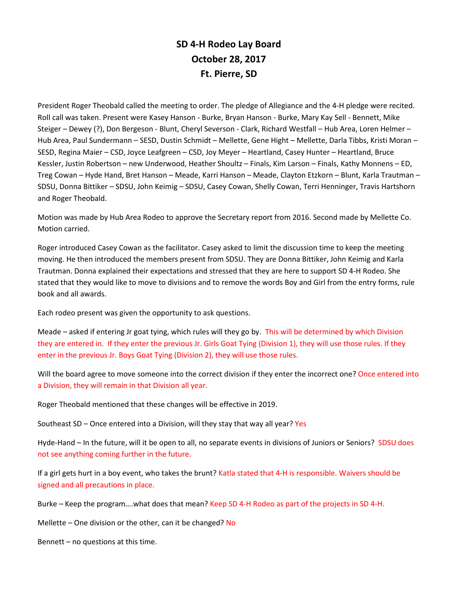## **SD 4-H Rodeo Lay Board October 28, 2017 Ft. Pierre, SD**

President Roger Theobald called the meeting to order. The pledge of Allegiance and the 4-H pledge were recited. Roll call was taken. Present were Kasey Hanson - Burke, Bryan Hanson - Burke, Mary Kay Sell - Bennett, Mike Steiger – Dewey (?), Don Bergeson - Blunt, Cheryl Severson - Clark, Richard Westfall – Hub Area, Loren Helmer – Hub Area, Paul Sundermann – SESD, Dustin Schmidt – Mellette, Gene Hight – Mellette, Darla Tibbs, Kristi Moran – SESD, Regina Maier – CSD, Joyce Leafgreen – CSD, Joy Meyer – Heartland, Casey Hunter – Heartland, Bruce Kessler, Justin Robertson – new Underwood, Heather Shoultz – Finals, Kim Larson – Finals, Kathy Monnens – ED, Treg Cowan – Hyde Hand, Bret Hanson – Meade, Karri Hanson – Meade, Clayton Etzkorn – Blunt, Karla Trautman – SDSU, Donna Bittiker – SDSU, John Keimig – SDSU, Casey Cowan, Shelly Cowan, Terri Henninger, Travis Hartshorn and Roger Theobald.

Motion was made by Hub Area Rodeo to approve the Secretary report from 2016. Second made by Mellette Co. Motion carried.

Roger introduced Casey Cowan as the facilitator. Casey asked to limit the discussion time to keep the meeting moving. He then introduced the members present from SDSU. They are Donna Bittiker, John Keimig and Karla Trautman. Donna explained their expectations and stressed that they are here to support SD 4-H Rodeo. She stated that they would like to move to divisions and to remove the words Boy and Girl from the entry forms, rule book and all awards.

Each rodeo present was given the opportunity to ask questions.

Meade – asked if entering Jr goat tying, which rules will they go by. This will be determined by which Division they are entered in. If they enter the previous Jr. Girls Goat Tying (Division 1), they will use those rules. If they enter in the previous Jr. Boys Goat Tying (Division 2), they will use those rules.

Will the board agree to move someone into the correct division if they enter the incorrect one? Once entered into a Division, they will remain in that Division all year.

Roger Theobald mentioned that these changes will be effective in 2019.

Southeast SD – Once entered into a Division, will they stay that way all year? Yes

Hyde-Hand – In the future, will it be open to all, no separate events in divisions of Juniors or Seniors? SDSU does not see anything coming further in the future.

If a girl gets hurt in a boy event, who takes the brunt? Katla stated that 4-H is responsible. Waivers should be signed and all precautions in place.

Burke – Keep the program….what does that mean? Keep SD 4-H Rodeo as part of the projects in SD 4-H.

Mellette – One division or the other, can it be changed? No

Bennett – no questions at this time.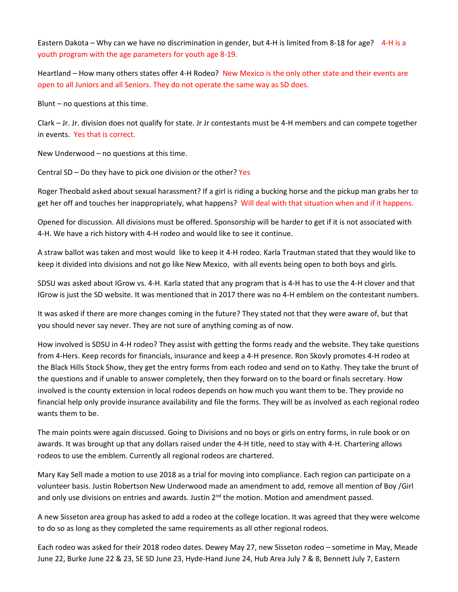Eastern Dakota – Why can we have no discrimination in gender, but 4-H is limited from 8-18 for age? 4-H is a youth program with the age parameters for youth age 8-19.

Heartland – How many others states offer 4-H Rodeo? New Mexico is the only other state and their events are open to all Juniors and all Seniors. They do not operate the same way as SD does.

Blunt – no questions at this time.

Clark – Jr. Jr. division does not qualify for state. Jr Jr contestants must be 4-H members and can compete together in events. Yes that is correct.

New Underwood – no questions at this time.

Central SD – Do they have to pick one division or the other? Yes

Roger Theobald asked about sexual harassment? If a girl is riding a bucking horse and the pickup man grabs her to get her off and touches her inappropriately, what happens? Will deal with that situation when and if it happens.

Opened for discussion. All divisions must be offered. Sponsorship will be harder to get if it is not associated with 4-H. We have a rich history with 4-H rodeo and would like to see it continue.

A straw ballot was taken and most would like to keep it 4-H rodeo. Karla Trautman stated that they would like to keep it divided into divisions and not go like New Mexico, with all events being open to both boys and girls.

SDSU was asked about IGrow vs. 4-H. Karla stated that any program that is 4-H has to use the 4-H clover and that IGrow is just the SD website. It was mentioned that in 2017 there was no 4-H emblem on the contestant numbers.

It was asked if there are more changes coming in the future? They stated not that they were aware of, but that you should never say never. They are not sure of anything coming as of now.

How involved is SDSU in 4-H rodeo? They assist with getting the forms ready and the website. They take questions from 4-Hers. Keep records for financials, insurance and keep a 4-H presence. Ron Skovly promotes 4-H rodeo at the Black Hills Stock Show, they get the entry forms from each rodeo and send on to Kathy. They take the brunt of the questions and if unable to answer completely, then they forward on to the board or finals secretary. How involved is the county extension in local rodeos depends on how much you want them to be. They provide no financial help only provide insurance availability and file the forms. They will be as involved as each regional rodeo wants them to be.

The main points were again discussed. Going to Divisions and no boys or girls on entry forms, in rule book or on awards. It was brought up that any dollars raised under the 4-H title, need to stay with 4-H. Chartering allows rodeos to use the emblem. Currently all regional rodeos are chartered.

Mary Kay Sell made a motion to use 2018 as a trial for moving into compliance. Each region can participate on a volunteer basis. Justin Robertson New Underwood made an amendment to add, remove all mention of Boy /Girl and only use divisions on entries and awards. Justin  $2^{nd}$  the motion. Motion and amendment passed.

A new Sisseton area group has asked to add a rodeo at the college location. It was agreed that they were welcome to do so as long as they completed the same requirements as all other regional rodeos.

Each rodeo was asked for their 2018 rodeo dates. Dewey May 27, new Sisseton rodeo – sometime in May, Meade June 22, Burke June 22 & 23, SE SD June 23, Hyde-Hand June 24, Hub Area July 7 & 8, Bennett July 7, Eastern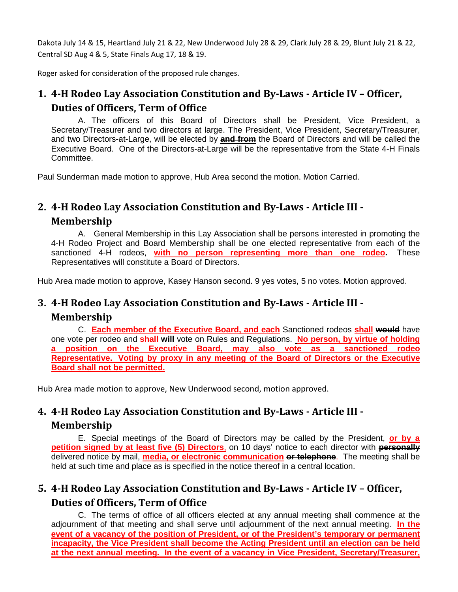Dakota July 14 & 15, Heartland July 21 & 22, New Underwood July 28 & 29, Clark July 28 & 29, Blunt July 21 & 22, Central SD Aug 4 & 5, State Finals Aug 17, 18 & 19.

Roger asked for consideration of the proposed rule changes.

## **1. 4-H Rodeo Lay Association Constitution and By-Laws - Article IV – Officer, Duties of Officers, Term of Office**

A. The officers of this Board of Directors shall be President, Vice President, a Secretary/Treasurer and two directors at large. The President, Vice President, Secretary/Treasurer, and two Directors-at-Large, will be elected by **and from** the Board of Directors and will be called the Executive Board. One of the Directors-at-Large will be the representative from the State 4-H Finals Committee.

Paul Sunderman made motion to approve, Hub Area second the motion. Motion Carried.

# **2. 4-H Rodeo Lay Association Constitution and By-Laws - Article III - Membership**

A. General Membership in this Lay Association shall be persons interested in promoting the 4-H Rodeo Project and Board Membership shall be one elected representative from each of the sanctioned 4-H rodeos, **with no person representing more than one rodeo.** These Representatives will constitute a Board of Directors.

Hub Area made motion to approve, Kasey Hanson second. 9 yes votes, 5 no votes. Motion approved.

## **3. 4-H Rodeo Lay Association Constitution and By-Laws - Article III -**

#### **Membership**

C. **Each member of the Executive Board, and each** Sanctioned rodeos **shall would** have one vote per rodeo and **shall will** vote on Rules and Regulations. **No person, by virtue of holding a position on the Executive Board, may also vote as a sanctioned rodeo Representative. Voting by proxy in any meeting of the Board of Directors or the Executive Board shall not be permitted.** 

Hub Area made motion to approve, New Underwood second, motion approved.

## **4. 4-H Rodeo Lay Association Constitution and By-Laws - Article III -**

#### **Membership**

E. Special meetings of the Board of Directors may be called by the President, **or by a petition signed by at least five (5) Directors**, on 10 days' notice to each director with **personally** delivered notice by mail, **media, or electronic communication or telephone**. The meeting shall be held at such time and place as is specified in the notice thereof in a central location.

# **5. 4-H Rodeo Lay Association Constitution and By-Laws - Article IV – Officer, Duties of Officers, Term of Office**

C. The terms of office of all officers elected at any annual meeting shall commence at the adjournment of that meeting and shall serve until adjournment of the next annual meeting. **In the event of a vacancy of the position of President, or of the President's temporary or permanent incapacity, the Vice President shall become the Acting President until an election can be held at the next annual meeting. In the event of a vacancy in Vice President, Secretary/Treasurer,**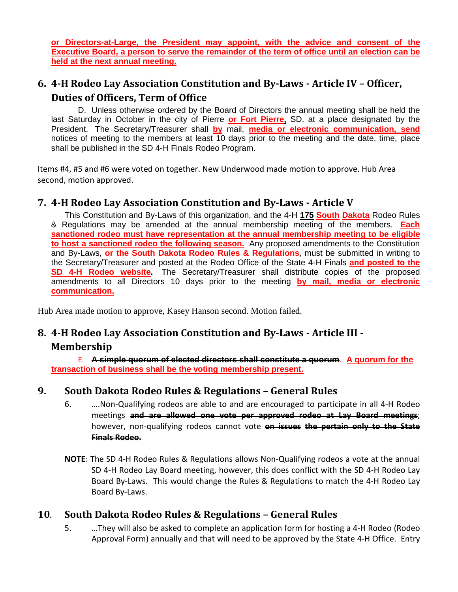**or Directors-at-Large, the President may appoint, with the advice and consent of the Executive Board, a person to serve the remainder of the term of office until an election can be held at the next annual meeting.**

## **6. 4-H Rodeo Lay Association Constitution and By-Laws - Article IV – Officer, Duties of Officers, Term of Office**

D. Unless otherwise ordered by the Board of Directors the annual meeting shall be held the last Saturday in October in the city of Pierre **or Fort Pierre,** SD, at a place designated by the President. The Secretary/Treasurer shall **by** mail, **media or electronic communication, send** notices of meeting to the members at least 10 days prior to the meeting and the date, time, place shall be published in the SD 4-H Finals Rodeo Program.

Items #4, #5 and #6 were voted on together. New Underwood made motion to approve. Hub Area second, motion approved.

### **7. 4-H Rodeo Lay Association Constitution and By-Laws - Article V**

This Constitution and By-Laws of this organization, and the 4-H **175 South Dakota** Rodeo Rules & Regulations may be amended at the annual membership meeting of the members. **Each sanctioned rodeo must have representation at the annual membership meeting to be eligible to host a sanctioned rodeo the following season.** Any proposed amendments to the Constitution and By-Laws, **or the South Dakota Rodeo Rules & Regulations**, must be submitted in writing to the Secretary/Treasurer and posted at the Rodeo Office of the State 4-H Finals **and posted to the SD 4-H Rodeo website.** The Secretary/Treasurer shall distribute copies of the proposed amendments to all Directors 10 days prior to the meeting **by mail, media or electronic communication.**

Hub Area made motion to approve, Kasey Hanson second. Motion failed.

## **8. 4-H Rodeo Lay Association Constitution and By-Laws - Article III - Membership**

E. **A simple quorum of elected directors shall constitute a quorum**. **A quorum for the transaction of business shall be the voting membership present.**

#### **9. South Dakota Rodeo Rules & Regulations – General Rules**

- 6. ….Non-Qualifying rodeos are able to and are encouraged to participate in all 4-H Rodeo meetings **and are allowed one vote per approved rodeo at Lay Board meetings**; however, non-qualifying rodeos cannot vote **on issues the pertain only to the State Finals Rodeo.**
- **NOTE**: The SD 4-H Rodeo Rules & Regulations allows Non-Qualifying rodeos a vote at the annual SD 4-H Rodeo Lay Board meeting, however, this does conflict with the SD 4-H Rodeo Lay Board By-Laws. This would change the Rules & Regulations to match the 4-H Rodeo Lay Board By-Laws.

#### **10**. **South Dakota Rodeo Rules & Regulations – General Rules**

5. …They will also be asked to complete an application form for hosting a 4-H Rodeo (Rodeo Approval Form) annually and that will need to be approved by the State 4-H Office. Entry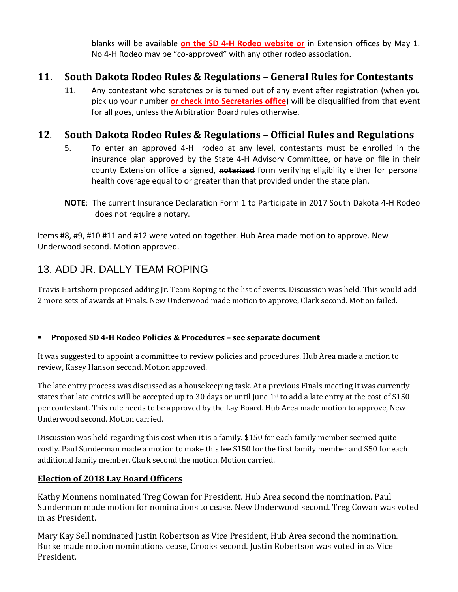blanks will be available **on the SD 4-H Rodeo website or** in Extension offices by May 1. No 4-H Rodeo may be "co-approved" with any other rodeo association.

## **11. South Dakota Rodeo Rules & Regulations – General Rules for Contestants**

11. Any contestant who scratches or is turned out of any event after registration (when you pick up your number **or check into Secretaries office**) will be disqualified from that event for all goes, unless the Arbitration Board rules otherwise.

### **12**. **South Dakota Rodeo Rules & Regulations – Official Rules and Regulations**

- 5. To enter an approved 4-H rodeo at any level, contestants must be enrolled in the insurance plan approved by the State 4-H Advisory Committee, or have on file in their county Extension office a signed, **notarized** form verifying eligibility either for personal health coverage equal to or greater than that provided under the state plan.
- **NOTE**: The current Insurance Declaration Form 1 to Participate in 2017 South Dakota 4-H Rodeo does not require a notary.

Items #8, #9, #10 #11 and #12 were voted on together. Hub Area made motion to approve. New Underwood second. Motion approved.

## 13. ADD JR. DALLY TEAM ROPING

Travis Hartshorn proposed adding Jr. Team Roping to the list of events. Discussion was held. This would add 2 more sets of awards at Finals. New Underwood made motion to approve, Clark second. Motion failed.

#### **Proposed SD 4-H Rodeo Policies & Procedures – see separate document**

It was suggested to appoint a committee to review policies and procedures. Hub Area made a motion to review, Kasey Hanson second. Motion approved.

The late entry process was discussed as a housekeeping task. At a previous Finals meeting it was currently states that late entries will be accepted up to 30 days or until June  $1<sup>st</sup>$  to add a late entry at the cost of \$150 per contestant. This rule needs to be approved by the Lay Board. Hub Area made motion to approve, New Underwood second. Motion carried.

Discussion was held regarding this cost when it is a family. \$150 for each family member seemed quite costly. Paul Sunderman made a motion to make this fee \$150 for the first family member and \$50 for each additional family member. Clark second the motion. Motion carried.

#### **Election of 2018 Lay Board Officers**

Kathy Monnens nominated Treg Cowan for President. Hub Area second the nomination. Paul Sunderman made motion for nominations to cease. New Underwood second. Treg Cowan was voted in as President.

Mary Kay Sell nominated Justin Robertson as Vice President, Hub Area second the nomination. Burke made motion nominations cease, Crooks second. Justin Robertson was voted in as Vice President.